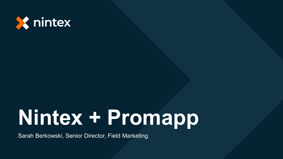

### **Nintex + Promapp**

Sarah Berkowski, Senior Director, Field Marketing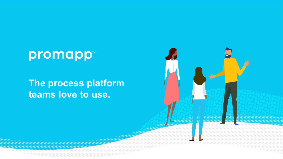### promapp<sup>\*</sup>

#### **The process platform teams love to use.**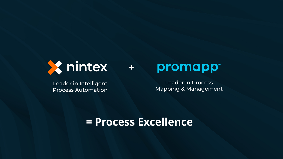

Leader in Intelligent Process Automation

### promapp<sup>®</sup>

Leader in Process Mapping & Management

#### **= Process Excellence**

**+**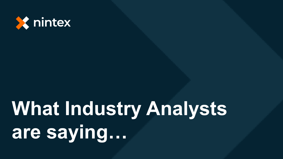

# **What Industry Analysts** are saying...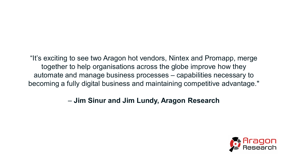"It's exciting to see two Aragon hot vendors, Nintex and Promapp, merge together to help organisations across the globe improve how they automate and manage business processes – capabilities necessary to becoming a fully digital business and maintaining competitive advantage."

#### – **Jim Sinur and Jim Lundy, Aragon Research**

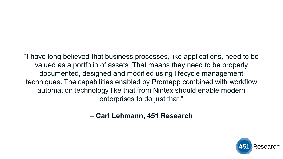"I have long believed that business processes, like applications, need to be valued as a portfolio of assets. That means they need to be properly documented, designed and modified using lifecycle management techniques. The capabilities enabled by Promapp combined with workflow automation technology like that from Nintex should enable modern enterprises to do just that."

– **Carl Lehmann, 451 Research**

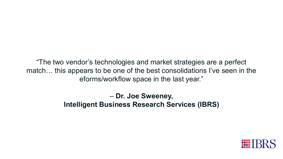"The two vendor's technologies and market strategies are a perfect match… this appears to be one of the best consolidations I've seen in the eforms/workflow space in the last year."

> – **Dr. Joe Sweeney, Intelligent Business Research Services (IBRS)**

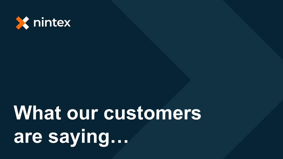

# What our customers **are saying…**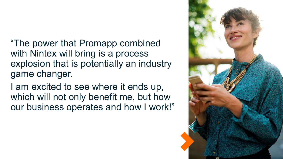"The power that Promapp combined with Nintex will bring is a process explosion that is potentially an industry game changer.

I am excited to see where it ends up, which will not only benefit me, but how our business operates and how I work!"

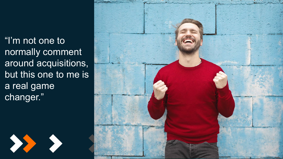"I'm not one to normally comment around acquisitions, but this one to me is a real game changer."